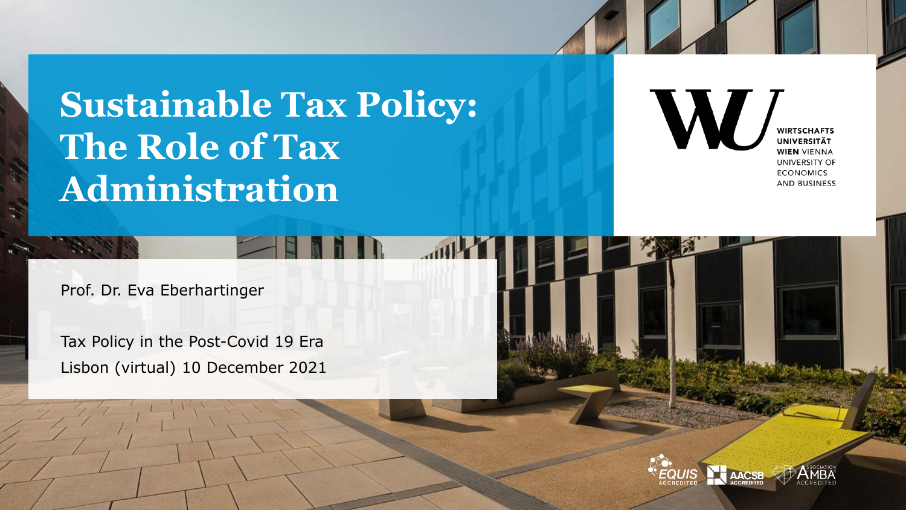# **Sustainable Tax Policy: The Role of Tax Administration**

**WIRTSCHAFTS UNIVERSITÄT WIEN VIFNNA UNIVERSITY OF ECONOMICS** AND BUSINESS

Prof. Dr. Eva Eberhartinger

Tax Policy in the Post-Covid 19 Era Lisbon (virtual) 10 December 2021

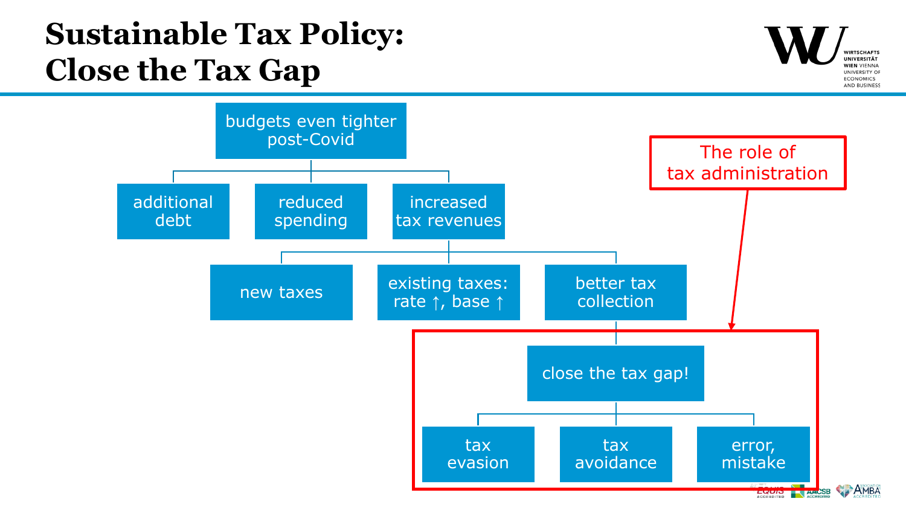### **Sustainable Tax Policy: Close the Tax Gap**

additional debt

AND BUSINES: budgets even tighter post-Covid The role of tax administrationreduced increased spending tax revenues new taxes existing taxes: better tax collection rate ↑, base ↑ close the tax gap! tax tax error, evasion avoidance mistake ACCREDITED ACCREDITED

UNIVERSITY O **ECONOMICS**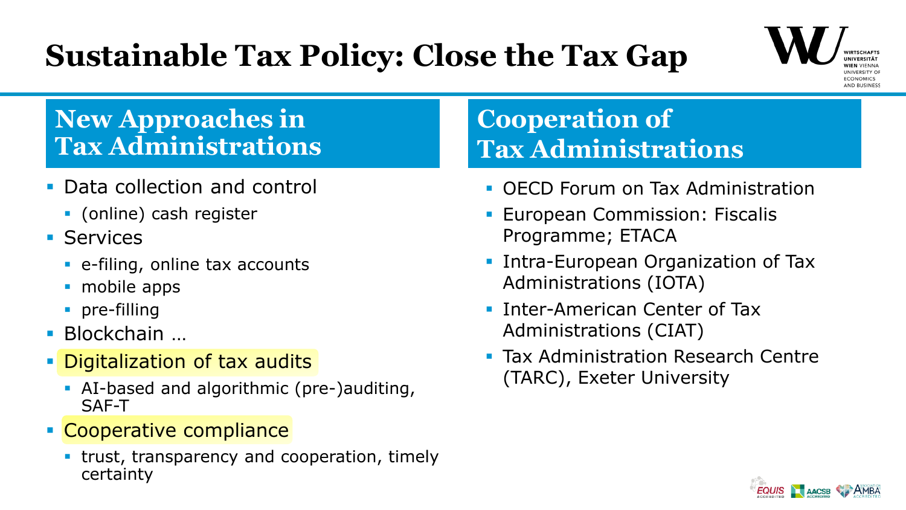# **Sustainable Tax Policy: Close the Tax Gap**



#### **New Approaches in Tax Administrations**

- **Data collection and control** 
	- (online) cash register
- **Services** 
	- e-filing, online tax accounts
	- mobile apps
	- **pre-filling**
- **Blockchain …**
- **Digitalization of tax audits** 
	- AI-based and algorithmic (pre-)auditing, SAF-T
- **Cooperative compliance** 
	- **trust, transparency and cooperation, timely** certainty

### **Cooperation of Tax Administrations**

- **OECD Forum on Tax Administration**
- **European Commission: Fiscalis** Programme; ETACA
- **Intra-European Organization of Tax** Administrations (IOTA)
- **Inter-American Center of Tax** Administrations (CIAT)
- **Tax Administration Research Centre** (TARC), Exeter University

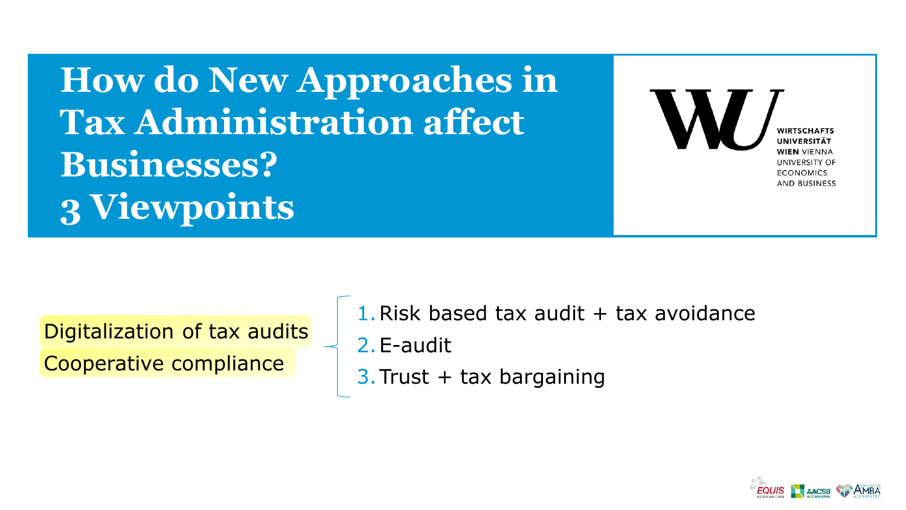**How do New Approaches in Tax Administration affect Businesses? 3 Viewpoints**

**IINIVERSITÄ WIEN VIENNA UNIVERSITY OF ECONOMICS AND BUSINESS** 

Digitalization of tax audits Cooperative compliance

1. Risk based tax audit  $+$  tax avoidance 2.E-audit

 $3.$  Trust + tax bargaining

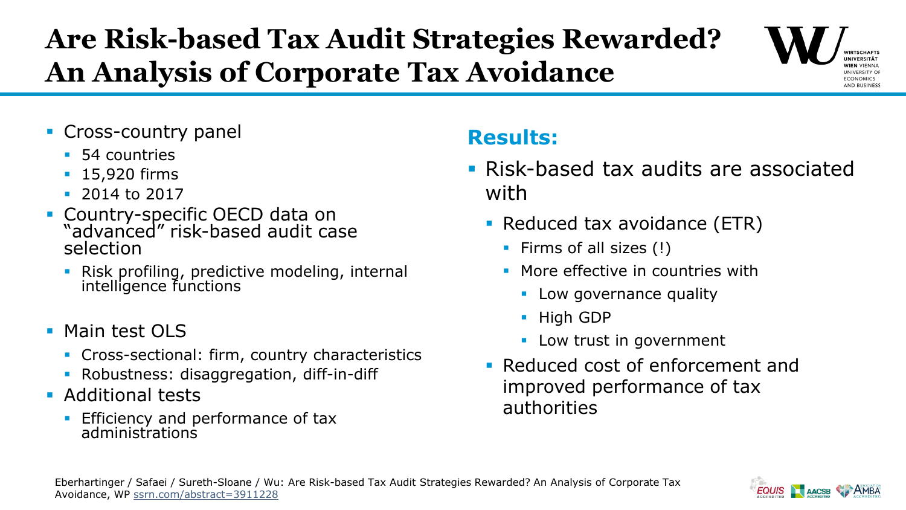### **Are Risk-based Tax Audit Strategies Rewarded? An Analysis of Corporate Tax Avoidance**



- Cross-country panel
	- **54** countries
	- **15,920 firms**
	- $-2014$  to 2017
- **Country-specific OECD data on** "advanced" risk-based audit case selection
	- Risk profiling, predictive modeling, internal intelligence functions
- **Main test OLS** 
	- **Cross-sectional: firm, country characteristics**
	- Robustness: disaggregation, diff-in-diff
- **Additional tests** 
	- Efficiency and performance of tax administrations

#### **Results:**

- Risk-based tax audits are associated with
	- Reduced tax avoidance (ETR)
		- Firms of all sizes  $(!)$
		- **More effective in countries with** 
			- **Low governance quality**
			- High GDP
			- **Low trust in government**
	- Reduced cost of enforcement and improved performance of tax authorities

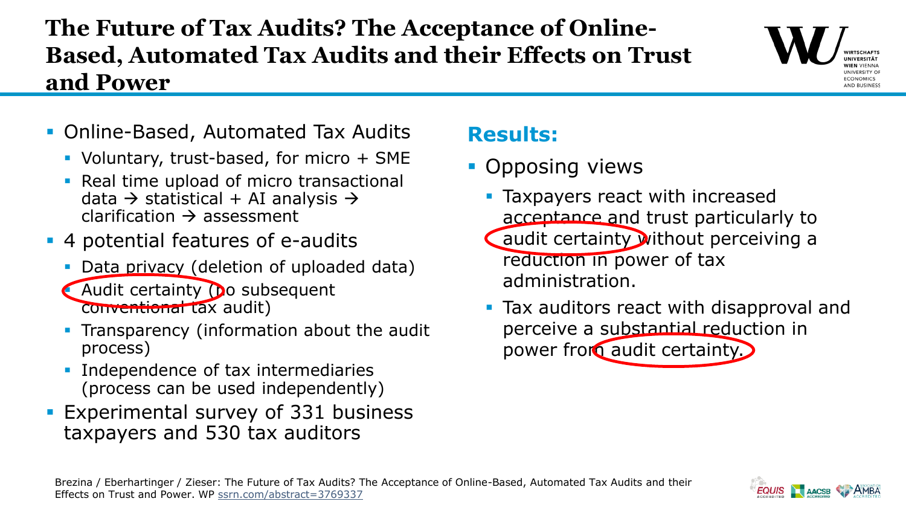#### **The Future of Tax Audits? The Acceptance of Online-Based, Automated Tax Audits and their Effects on Trust and Power**



- Online-Based, Automated Tax Audits
	- Voluntary, trust-based, for micro + SME
	- Real time upload of micro transactional data  $\rightarrow$  statistical + AI analysis  $\rightarrow$ clarification  $\rightarrow$  assessment
- 4 potential features of e-audits
	- Data privacy (deletion of uploaded data)
	- Audit certainty (Do subsequent conventional tax audit)
	- Transparency (information about the audit process)
	- **Independence of tax intermediaries** (process can be used independently)
- Experimental survey of 331 business taxpayers and 530 tax auditors

#### **Results:**

- **Opposing views** 
	- **Taxpayers react with increased** acceptance and trust particularly to audit certainty without perceiving a reduction in power of tax administration.
	- Tax auditors react with disapproval and perceive a substantial reduction in power from audit certainty.

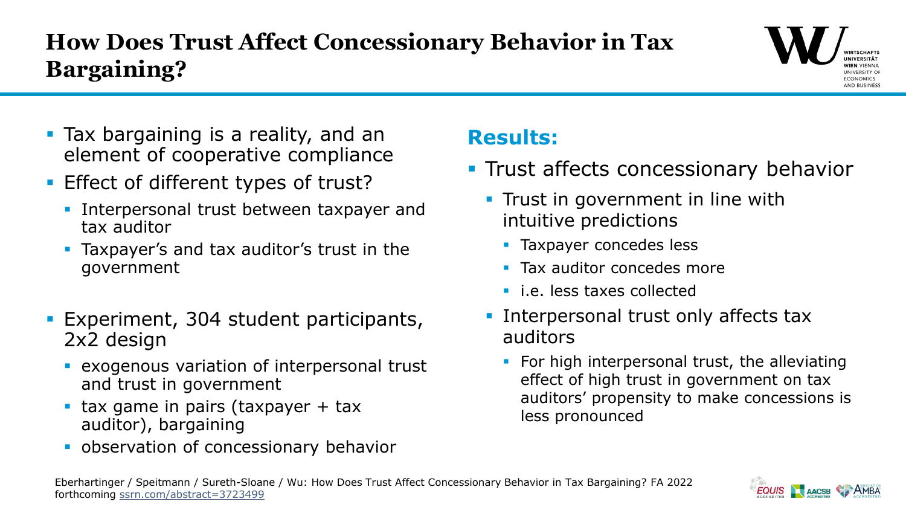#### **How Does Trust Affect Concessionary Behavior in Tax Bargaining?**



- **Tax bargaining is a reality, and an** element of cooperative compliance
- **Effect of different types of trust?** 
	- **Interpersonal trust between taxpayer and** tax auditor
	- Taxpayer's and tax auditor's trust in the government
- Experiment, 304 student participants, 2x2 design
	- **Exogenous variation of interpersonal trust** and trust in government
	- $\blacksquare$  tax game in pairs (taxpayer + tax auditor), bargaining
	- **observation of concessionary behavior**

#### **Results:**

- **Trust affects concessionary behavior** 
	- **Trust in government in line with** intuitive predictions
		- **Taxpayer concedes less**
		- **Tax auditor concedes more**
		- i.e. less taxes collected
	- **Interpersonal trust only affects tax** auditors
		- For high interpersonal trust, the alleviating effect of high trust in government on tax auditors' propensity to make concessions is less pronounced

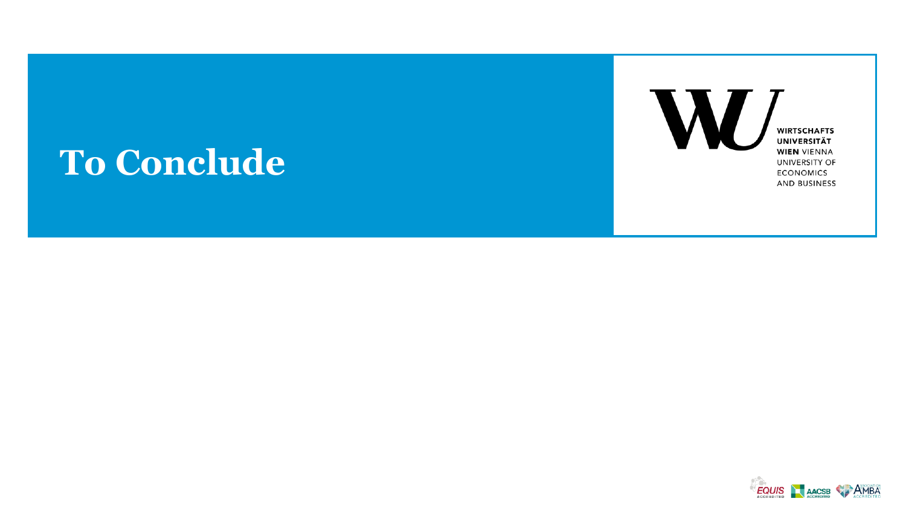#### **WIRTSCHAFTS UNIVERSITÄT WIEN VIENNA** UNIVERSITY OF **ECONOMICS** AND BUSINESS

## **To Conclude**

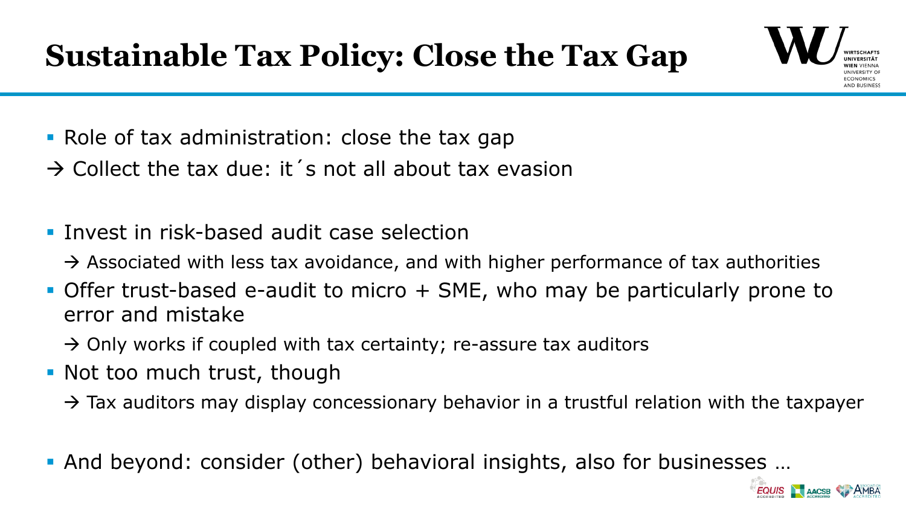- Role of tax administration: close the tax gap
- $\rightarrow$  Collect the tax due: it 's not all about tax evasion
- **I** Invest in risk-based audit case selection
	- $\rightarrow$  Associated with less tax avoidance, and with higher performance of tax authorities
- Offer trust-based e-audit to micro + SME, who may be particularly prone to error and mistake
	- $\rightarrow$  Only works if coupled with tax certainty; re-assure tax auditors
- Not too much trust, though
	- $\rightarrow$  Tax auditors may display concessionary behavior in a trustful relation with the taxpayer
- And beyond: consider (other) behavioral insights, also for businesses …